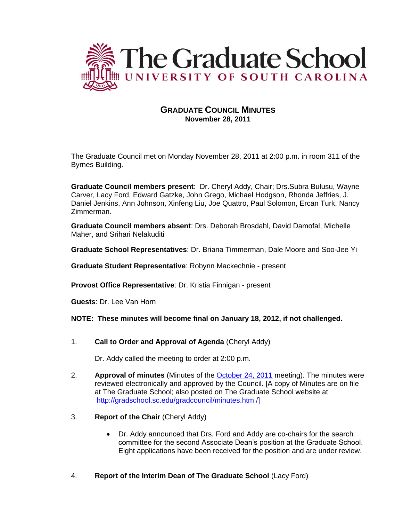

# **GRADUATE COUNCIL MINUTES November 28, 2011**

The Graduate Council met on Monday November 28, 2011 at 2:00 p.m. in room 311 of the Byrnes Building.

**Graduate Council members present**: Dr. Cheryl Addy, Chair; Drs.Subra Bulusu, Wayne Carver, Lacy Ford, Edward Gatzke, John Grego, Michael Hodgson, Rhonda Jeffries, J. Daniel Jenkins, Ann Johnson, Xinfeng Liu, Joe Quattro, Paul Solomon, Ercan Turk, Nancy Zimmerman.

**Graduate Council members absent**: Drs. Deborah Brosdahl, David Damofal, Michelle Maher, and Srihari Nelakuditi

**Graduate School Representatives**: Dr. Briana Timmerman, Dale Moore and Soo-Jee Yi

**Graduate Student Representative**: Robynn Mackechnie - present

**Provost Office Representative**: Dr. Kristia Finnigan - present

**Guests**: Dr. Lee Van Horn

## **NOTE: These minutes will become final on January 18, 2012, if not challenged.**

1. **Call to Order and Approval of Agenda** (Cheryl Addy)

Dr. Addy called the meeting to order at 2:00 p.m.

- 2. **Approval of minutes** (Minutes of the [October 24, 2011](http://gradschool.sc.edu/gradcouncil/minutes/GCMinutes102411.pdf) meeting). The minutes were reviewed electronically and approved by the Council. [A copy of Minutes are on file at The Graduate School; also posted on The Graduate School website at [http://gradschool.sc.edu/gradcouncil/minutes.htm](http://gradschool.sc.edu/gradcouncil/minutes/) /]
- 3. **Report of the Chair** (Cheryl Addy)
	- Dr. Addy announced that Drs. Ford and Addy are co-chairs for the search committee for the second Associate Dean's position at the Graduate School. Eight applications have been received for the position and are under review.
- 4. **Report of the Interim Dean of The Graduate School** (Lacy Ford)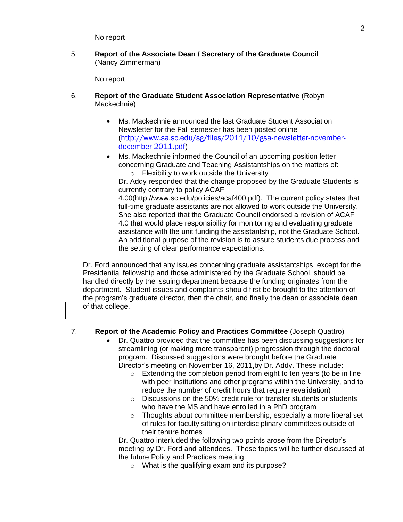No report

5. **Report of the Associate Dean / Secretary of the Graduate Council**  (Nancy Zimmerman)

No report

- 6. **Report of the Graduate Student Association Representative** (Robyn Mackechnie)
	- Ms. Mackechnie announced the last Graduate Student Association Newsletter for the Fall semester has been posted online ([http://www.sa.sc.edu/sg/files/2011/10/gsa-newsletter-november](http://www.sa.sc.edu/sg/files/2011/10/gsa-newsletter-november-december-2011.pdf)[december-2011.pdf](http://www.sa.sc.edu/sg/files/2011/10/gsa-newsletter-november-december-2011.pdf))
	- Ms. Mackechnie informed the Council of an upcoming position letter concerning Graduate and Teaching Assistantships on the matters of: o Flexibility to work outside the University

Dr. Addy responded that the change proposed by the Graduate Students is currently contrary to policy ACAF

4.00(http://www.sc.edu/policies/acaf400.pdf). The current policy states that full-time graduate assistants are not allowed to work outside the University. She also reported that the Graduate Council endorsed a revision of ACAF 4.0 that would place responsibility for monitoring and evaluating graduate assistance with the unit funding the assistantship, not the Graduate School. An additional purpose of the revision is to assure students due process and the setting of clear performance expectations.

Dr. Ford announced that any issues concerning graduate assistantships, except for the Presidential fellowship and those administered by the Graduate School, should be handled directly by the issuing department because the funding originates from the department. Student issues and complaints should first be brought to the attention of the program's graduate director, then the chair, and finally the dean or associate dean of that college.

- 7. **Report of the Academic Policy and Practices Committee** (Joseph Quattro)
	- Dr. Quattro provided that the committee has been discussing suggestions for streamlining (or making more transparent) progression through the doctoral program. Discussed suggestions were brought before the Graduate Director's meeting on November 16, 2011,by Dr. Addy. These include:
		- o Extending the completion period from eight to ten years (to be in line with peer institutions and other programs within the University, and to reduce the number of credit hours that require revalidation)
		- o Discussions on the 50% credit rule for transfer students or students who have the MS and have enrolled in a PhD program
		- o Thoughts about committee membership, especially a more liberal set of rules for faculty sitting on interdisciplinary committees outside of their tenure homes

Dr. Quattro interluded the following two points arose from the Director's meeting by Dr. Ford and attendees. These topics will be further discussed at the future Policy and Practices meeting:

o What is the qualifying exam and its purpose?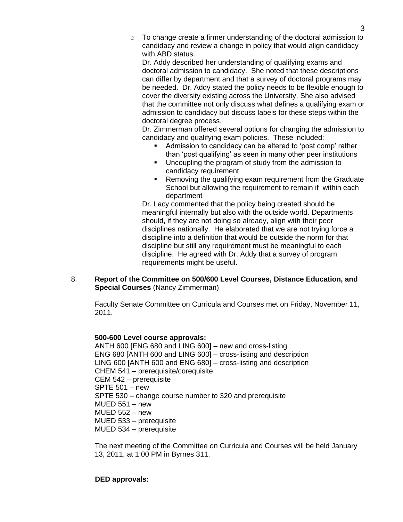$\circ$  To change create a firmer understanding of the doctoral admission to candidacy and review a change in policy that would align candidacy with ABD status.

Dr. Addy described her understanding of qualifying exams and doctoral admission to candidacy. She noted that these descriptions can differ by department and that a survey of doctoral programs may be needed. Dr. Addy stated the policy needs to be flexible enough to cover the diversity existing across the University. She also advised that the committee not only discuss what defines a qualifying exam or admission to candidacy but discuss labels for these steps within the doctoral degree process.

Dr. Zimmerman offered several options for changing the admission to candidacy and qualifying exam policies. These included:

- Admission to candidacy can be altered to 'post comp' rather than 'post qualifying' as seen in many other peer institutions
- Uncoupling the program of study from the admission to candidacy requirement
- Removing the qualifying exam requirement from the Graduate School but allowing the requirement to remain if within each department

Dr. Lacy commented that the policy being created should be meaningful internally but also with the outside world. Departments should, if they are not doing so already, align with their peer disciplines nationally. He elaborated that we are not trying force a discipline into a definition that would be outside the norm for that discipline but still any requirement must be meaningful to each discipline. He agreed with Dr. Addy that a survey of program requirements might be useful.

8. **Report of the Committee on 500/600 Level Courses, Distance Education, and Special Courses** (Nancy Zimmerman)

Faculty Senate Committee on Curricula and Courses met on Friday, November 11, 2011.

## **500-600 Level course approvals:**

ANTH 600 [ENG 680 and LING 600] – new and cross-listing ENG 680 [ANTH 600 and LING 600] – cross-listing and description LING 600 [ANTH 600 and ENG 680] – cross-listing and description CHEM 541 – prerequisite/corequisite CEM 542 – prerequisite SPTE 501 – new SPTE 530 – change course number to 320 and prerequisite  $MUED$  551 – new MUED 552 – new MUED 533 – prerequisite MUED 534 – prerequisite

The next meeting of the Committee on Curricula and Courses will be held January 13, 2011, at 1:00 PM in Byrnes 311.

## **DED approvals:**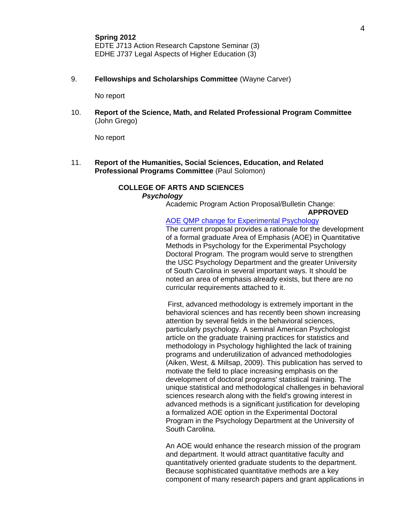**Spring 2012**  EDTE J713 Action Research Capstone Seminar (3) EDHE J737 Legal Aspects of Higher Education (3)

9. **Fellowships and Scholarships Committee** (Wayne Carver)

No report

10. **Report of the Science, Math, and Related Professional Program Committee**  (John Grego)

No report

11. **Report of the Humanities, Social Sciences, Education, and Related Professional Programs Committee** (Paul Solomon)

## **COLLEGE OF ARTS AND SCIENCES** *Psychology*

Academic Program Action Proposal/Bulletin Change:

**APPROVED**

## [AOE QMP change for Experimental Psychology](http://gradschool.sc.edu/gradcouncil/curr_docs/APAEXPPSYCAOEQMP_201141.pdf)

The current proposal provides a rationale for the development of a formal graduate Area of Emphasis (AOE) in Quantitative Methods in Psychology for the Experimental Psychology Doctoral Program. The program would serve to strengthen the USC Psychology Department and the greater University of South Carolina in several important ways. It should be noted an area of emphasis already exists, but there are no curricular requirements attached to it.

First, advanced methodology is extremely important in the behavioral sciences and has recently been shown increasing attention by several fields in the behavioral sciences, particularly psychology. A seminal American Psychologist article on the graduate training practices for statistics and methodology in Psychology highlighted the lack of training programs and underutilization of advanced methodologies (Aiken, West, & Millsap, 2009). This publication has served to motivate the field to place increasing emphasis on the development of doctoral programs' statistical training. The unique statistical and methodological challenges in behavioral sciences research along with the field's growing interest in advanced methods is a significant justification for developing a formalized AOE option in the Experimental Doctoral Program in the Psychology Department at the University of South Carolina.

An AOE would enhance the research mission of the program and department. It would attract quantitative faculty and quantitatively oriented graduate students to the department. Because sophisticated quantitative methods are a key component of many research papers and grant applications in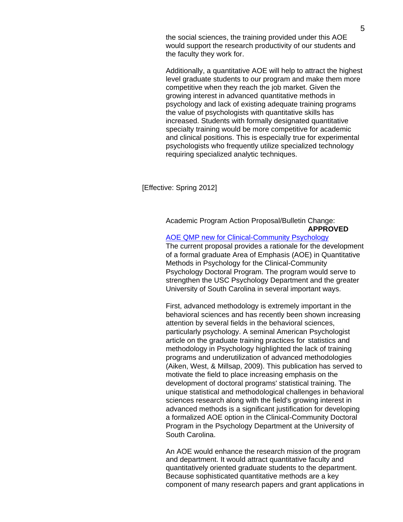the social sciences, the training provided under this AOE would support the research productivity of our students and the faculty they work for.

Additionally, a quantitative AOE will help to attract the highest level graduate students to our program and make them more competitive when they reach the job market. Given the growing interest in advanced quantitative methods in psychology and lack of existing adequate training programs the value of psychologists with quantitative skills has increased. Students with formally designated quantitative specialty training would be more competitive for academic and clinical positions. This is especially true for experimental psychologists who frequently utilize specialized technology requiring specialized analytic techniques.

[Effective: Spring 2012]

Academic Program Action Proposal/Bulletin Change: **APPROVED**

[AOE QMP new for Clinical-Community Psychology](http://gradschool.sc.edu/gradcouncil/curr_docs/APACCPSYCHAOEQMP_201141.pdf) The current proposal provides a rationale for the development of a formal graduate Area of Emphasis (AOE) in Quantitative Methods in Psychology for the Clinical-Community Psychology Doctoral Program. The program would serve to strengthen the USC Psychology Department and the greater University of South Carolina in several important ways.

First, advanced methodology is extremely important in the behavioral sciences and has recently been shown increasing attention by several fields in the behavioral sciences, particularly psychology. A seminal American Psychologist article on the graduate training practices for statistics and methodology in Psychology highlighted the lack of training programs and underutilization of advanced methodologies (Aiken, West, & Millsap, 2009). This publication has served to motivate the field to place increasing emphasis on the development of doctoral programs' statistical training. The unique statistical and methodological challenges in behavioral sciences research along with the field's growing interest in advanced methods is a significant justification for developing a formalized AOE option in the Clinical-Community Doctoral Program in the Psychology Department at the University of South Carolina.

An AOE would enhance the research mission of the program and department. It would attract quantitative faculty and quantitatively oriented graduate students to the department. Because sophisticated quantitative methods are a key component of many research papers and grant applications in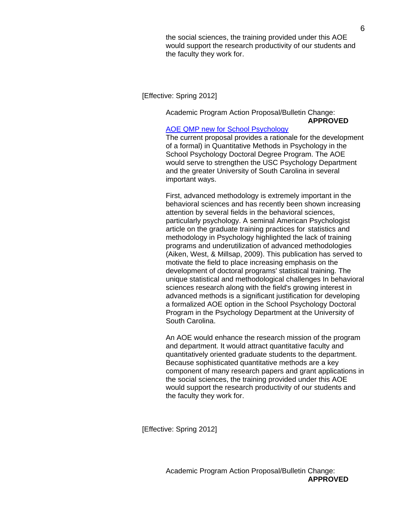the social sciences, the training provided under this AOE would support the research productivity of our students and the faculty they work for.

[Effective: Spring 2012]

Academic Program Action Proposal/Bulletin Change:

**APPROVED**

## [AOE QMP new for School Psychology](http://gradschool.sc.edu/gradcouncil/tracking_detail.asp?acad=2011-2012&chart=Humanities)

The current proposal provides a rationale for the development of a formal) in Quantitative Methods in Psychology in the School Psychology Doctoral Degree Program. The AOE would serve to strengthen the USC Psychology Department and the greater University of South Carolina in several important ways.

First, advanced methodology is extremely important in the behavioral sciences and has recently been shown increasing attention by several fields in the behavioral sciences, particularly psychology. A seminal American Psychologist article on the graduate training practices for statistics and methodology in Psychology highlighted the lack of training programs and underutilization of advanced methodologies (Aiken, West, & Millsap, 2009). This publication has served to motivate the field to place increasing emphasis on the development of doctoral programs' statistical training. The unique statistical and methodological challenges In behavioral sciences research along with the field's growing interest in advanced methods is a significant justification for developing a formalized AOE option in the School Psychology Doctoral Program in the Psychology Department at the University of South Carolina.

An AOE would enhance the research mission of the program and department. It would attract quantitative faculty and quantitatively oriented graduate students to the department. Because sophisticated quantitative methods are a key component of many research papers and grant applications in the social sciences, the training provided under this AOE would support the research productivity of our students and the faculty they work for.

[Effective: Spring 2012]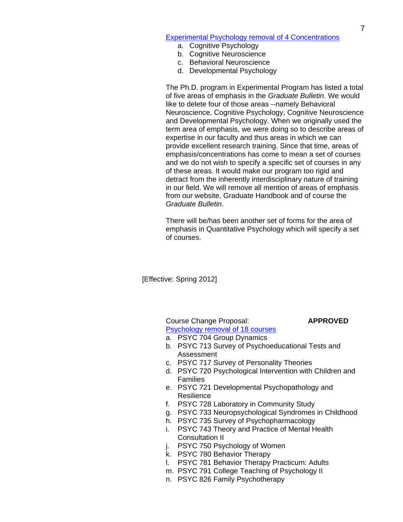[Experimental Psychology removal of 4 Concentrations](http://gradschool.sc.edu/gradcouncil/curr_docs/APAPSYCHDELETE4AOE_201141.pdf)

- a. Cognitive Psychology
- b. Cognitive Neuroscience
- c. Behavioral Neuroscience
- d. Developmental Psychology

The Ph.D. program in Experimental Program has listed a total of five areas of emphasis in the *Graduate Bulletin*. We would like to delete four of those areas --namely Behavioral Neuroscience, Cognitive Psychology, Cognitive Neuroscience and Developmental Psychology. When we originally used the term area of emphasis, we were doing so to describe areas of expertise in our faculty and thus areas in which we can provide excellent research training. Since that time, areas of emphasis/concentrations has come to mean a set of courses and we do not wish to specify a specific set of courses in any of these areas. It would make our program too rigid and detract from the inherently interdisciplinary nature of training in our field. We will remove all mention of areas of emphasis from our website, Graduate Handbook and of course the *Graduate Bulletin*.

There will be/has been another set of forms for the area of emphasis in Quantitative Psychology which will specify a set of courses.

[Effective: Spring 2012]

Course Change Proposal: **APPROVED** [Psychology removal of 18 courses](http://gradschool.sc.edu/gradcouncil/curr_docs/CCPPSYCHINACTIVES_201141.pdf)

a. PSYC 704 Group Dynamics

- b. PSYC 713 Survey of Psychoeducational Tests and Assessment
- c. PSYC 717 Survey of Personality Theories
- d. PSYC 720 Psychological Intervention with Children and Families
- e. PSYC 721 Developmental Psychopathology and **Resilience**
- f. PSYC 728 Laboratory in Community Study
- g. PSYC 733 Neuropsychological Syndromes in Childhood
- h. PSYC 735 Survey of Psychopharmacology
- i. PSYC 743 Theory and Practice of Mental Health Consultation II
- j. PSYC 750 Psychology of Women
- k. PSYC 780 Behavior Therapy
- l. PSYC 781 Behavior Therapy Practicum: Adults
- m. PSYC 791 College Teaching of Psychology II
- n. PSYC 826 Family Psychotherapy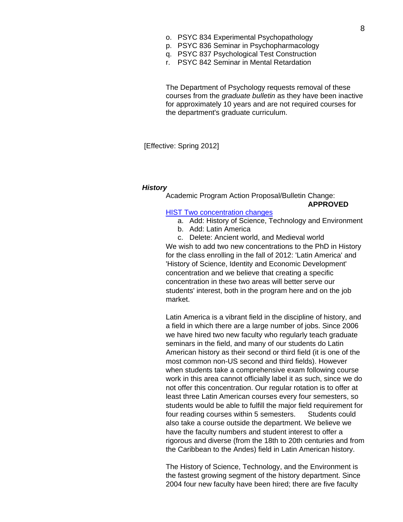- o. PSYC 834 Experimental Psychopathology
- p. PSYC 836 Seminar in Psychopharmacology
- q. PSYC 837 Psychological Test Construction
- r. PSYC 842 Seminar in Mental Retardation

The Department of Psychology requests removal of these courses from the *graduate bulletin* as they have been inactive for approximately 10 years and are not required courses for the department's graduate curriculum.

[Effective: Spring 2012]

#### *History*

Academic Program Action Proposal/Bulletin Change: **APPROVED**

#### [HIST Two concentration changes](http://gradschool.sc.edu/gradcouncil/curr_docs/APAHISTLATIN_201141.pdf)

- a. Add: History of Science, Technology and Environment
- b. Add: Latin America
- c. Delete: Ancient world, and Medieval world

We wish to add two new concentrations to the PhD in History for the class enrolling in the fall of 2012: 'Latin America' and 'History of Science, Identity and Economic Development' concentration and we believe that creating a specific concentration in these two areas will better serve our students' interest, both in the program here and on the job market.

Latin America is a vibrant field in the discipline of history, and a field in which there are a large number of jobs. Since 2006 we have hired two new faculty who regularly teach graduate seminars in the field, and many of our students do Latin American history as their second or third field (it is one of the most common non-US second and third fields). However when students take a comprehensive exam following course work in this area cannot officially label it as such, since we do not offer this concentration. Our regular rotation is to offer at least three Latin American courses every four semesters, so students would be able to fulfill the major field requirement for four reading courses within 5 semesters. Students could also take a course outside the department. We believe we have the faculty numbers and student interest to offer a rigorous and diverse (from the 18th to 20th centuries and from the Caribbean to the Andes) field in Latin American history.

The History of Science, Technology, and the Environment is the fastest growing segment of the history department. Since 2004 four new faculty have been hired; there are five faculty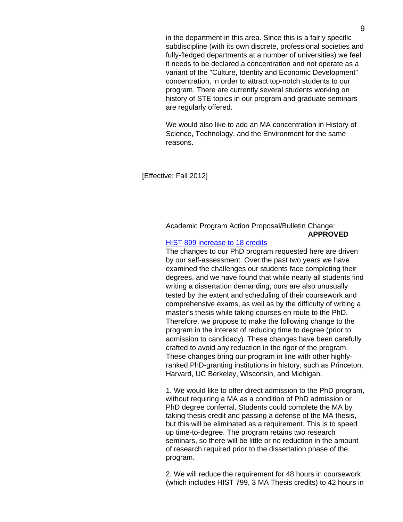in the department in this area. Since this is a fairly specific subdiscipline (with its own discrete, professional societies and fully-fledged departments at a number of universities) we feel it needs to be declared a concentration and not operate as a variant of the "Culture, Identity and Economic Development" concentration, in order to attract top-notch students to our program. There are currently several students working on history of STE topics in our program and graduate seminars are regularly offered.

We would also like to add an MA concentration in History of Science, Technology, and the Environment for the same reasons.

[Effective: Fall 2012]

# Academic Program Action Proposal/Bulletin Change: **APPROVED**

### [HIST 899 increase to 18 credits](http://gradschool.sc.edu/gradcouncil/curr_docs/APAHIST899_201141.pdf)

The changes to our PhD program requested here are driven by our self-assessment. Over the past two years we have examined the challenges our students face completing their degrees, and we have found that while nearly all students find writing a dissertation demanding, ours are also unusually tested by the extent and scheduling of their coursework and comprehensive exams, as well as by the difficulty of writing a master's thesis while taking courses en route to the PhD. Therefore, we propose to make the following change to the program in the interest of reducing time to degree (prior to admission to candidacy). These changes have been carefully crafted to avoid any reduction in the rigor of the program. These changes bring our program in line with other highlyranked PhD-granting institutions in history, such as Princeton, Harvard, UC Berkeley, Wisconsin, and Michigan.

1. We would like to offer direct admission to the PhD program, without requiring a MA as a condition of PhD admission or PhD degree conferral. Students could complete the MA by taking thesis credit and passing a defense of the MA thesis, but this will be eliminated as a requirement. This is to speed up time-to-degree. The program retains two research seminars, so there will be little or no reduction in the amount of research required prior to the dissertation phase of the program.

2. We will reduce the requirement for 48 hours in coursework (which includes HIST 799, 3 MA Thesis credits) to 42 hours in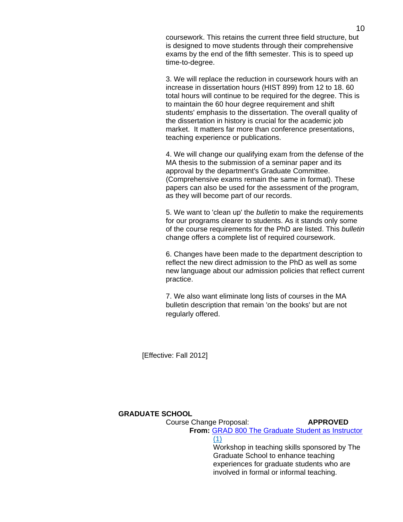coursework. This retains the current three field structure, but is designed to move students through their comprehensive exams by the end of the fifth semester. This is to speed up time-to-degree.

3. We will replace the reduction in coursework hours with an increase in dissertation hours (HIST 899) from 12 to 18. 60 total hours will continue to be required for the degree. This is to maintain the 60 hour degree requirement and shift students' emphasis to the dissertation. The overall quality of the dissertation in history is crucial for the academic job market. It matters far more than conference presentations, teaching experience or publications.

4. We will change our qualifying exam from the defense of the MA thesis to the submission of a seminar paper and its approval by the department's Graduate Committee. (Comprehensive exams remain the same in format). These papers can also be used for the assessment of the program, as they will become part of our records.

5. We want to 'clean up' the *bulletin* to make the requirements for our programs clearer to students. As it stands only some of the course requirements for the PhD are listed. This *bulletin* change offers a complete list of required coursework.

6. Changes have been made to the department description to reflect the new direct admission to the PhD as well as some new language about our admission policies that reflect current practice.

7. We also want eliminate long lists of courses in the MA bulletin description that remain 'on the books' but are not regularly offered.

[Effective: Fall 2012]

#### **GRADUATE SCHOOL**

Course Change Proposal: **APPROVED From:** [GRAD 800 The Graduate Student as Instructor](http://gradschool.sc.edu/gradcouncil/curr_docs/CCPGRAD800_201141.pdf) (1) Workshop in teaching skills sponsored by The Graduate School to enhance teaching experiences for graduate students who are

involved in formal or informal teaching.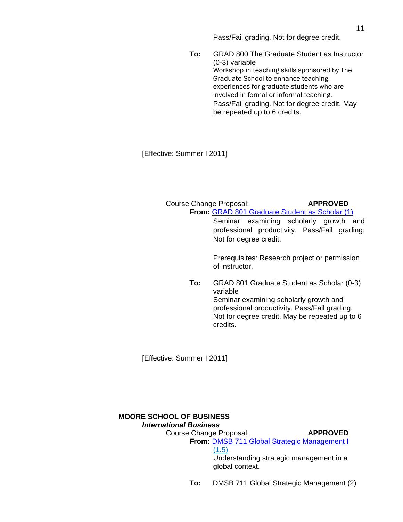Pass/Fail grading. Not for degree credit.

**To:** GRAD 800 The Graduate Student as Instructor (0-3) variable Workshop in teaching skills sponsored by The Graduate School to enhance teaching experiences for graduate students who are involved in formal or informal teaching. Pass/Fail grading. Not for degree credit. May be repeated up to 6 credits.

[Effective: Summer I 2011]

Course Change Proposal: **APPROVED From:** [GRAD 801 Graduate Student as Scholar \(1\)](http://gradschool.sc.edu/gradcouncil/curr_docs/CCPGRAD801_201141.pdf) Seminar examining scholarly growth and

professional productivity. Pass/Fail grading. Not for degree credit.

Prerequisites: Research project or permission of instructor.

**To:** GRAD 801 Graduate Student as Scholar (0-3) variable Seminar examining scholarly growth and professional productivity. Pass/Fail grading. Not for degree credit. May be repeated up to 6 credits.

[Effective: Summer I 2011]

## **MOORE SCHOOL OF BUSINESS** *International Business* Course Change Proposal: **APPROVED From:** [DMSB 711 Global Strategic Management I](http://gradschool.sc.edu/gradcouncil/curr_docs/CCPDMSB711_201141.pdf)

(1.5) Understanding strategic management in a global context.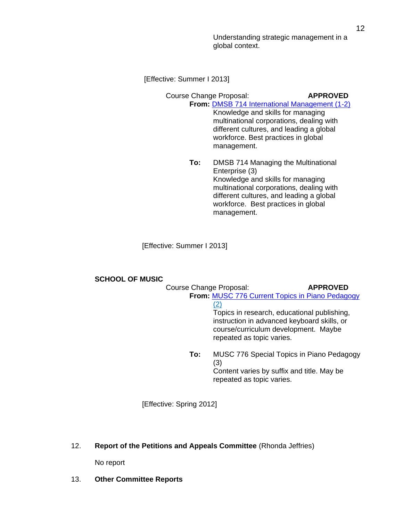Understanding strategic management in a global context.

[Effective: Summer I 2013]

Course Change Proposal: **APPROVED From:** [DMSB 714 International Management \(1-2\)](http://gradschool.sc.edu/gradcouncil/curr_docs/CCPDMSB714_201141.pdf) Knowledge and skills for managing multinational corporations, dealing with different cultures, and leading a global workforce. Best practices in global management.

> **To:** DMSB 714 Managing the Multinational Enterprise (3) Knowledge and skills for managing multinational corporations, dealing with different cultures, and leading a global workforce. Best practices in global management.

[Effective: Summer I 2013]

## **SCHOOL OF MUSIC**

Course Change Proposal: **APPROVED From:** [MUSC 776 Current Topics in Piano Pedagogy](http://gradschool.sc.edu/gradcouncil/curr_docs/CCPMUSC776_201141.pdf) (2) Topics in research, educational publishing, instruction in advanced keyboard skills, or course/curriculum development. Maybe repeated as topic varies. **To:** MUSC 776 Special Topics in Piano Pedagogy

(3) Content varies by suffix and title. May be repeated as topic varies.

[Effective: Spring 2012]

12. **Report of the Petitions and Appeals Committee** (Rhonda Jeffries)

No report

13. **Other Committee Reports**